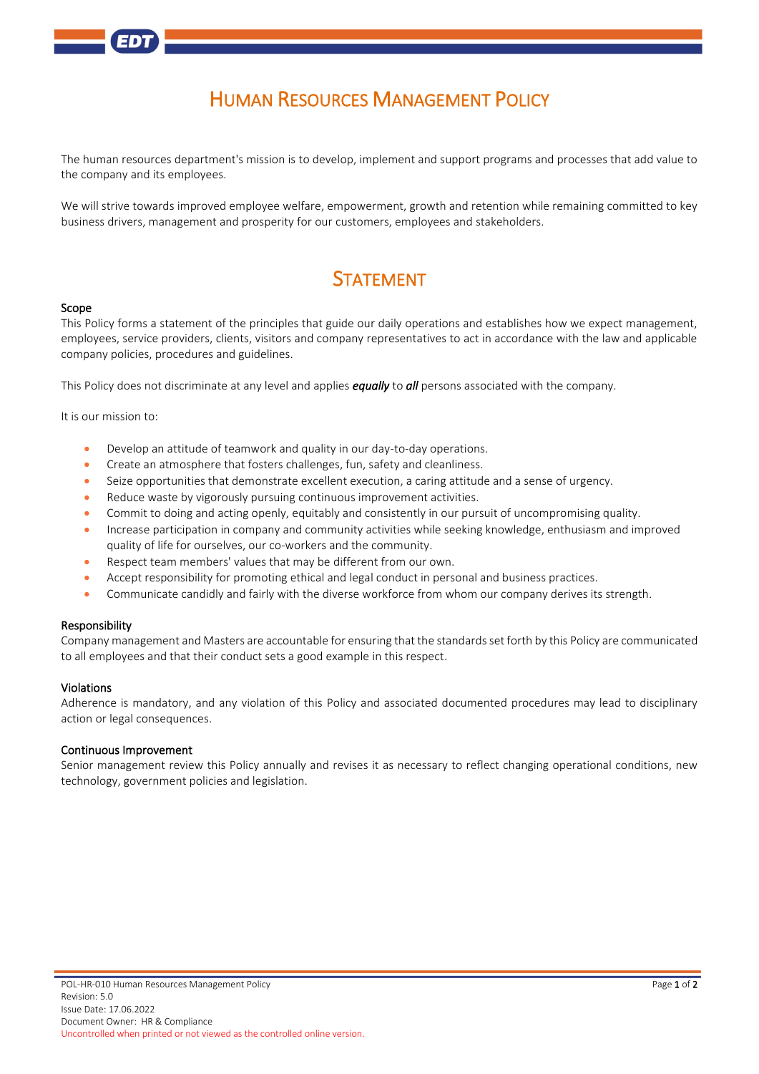# HUMAN RESOURCES MANAGEMENT POLICY

The human resources department's mission is to develop, implement and support programs and processes that add value to the company and its employees.

We will strive towards improved employee welfare, empowerment, growth and retention while remaining committed to key business drivers, management and prosperity for our customers, employees and stakeholders.

## **STATEMENT**

#### Scope

This Policy forms a statement of the principles that guide our daily operations and establishes how we expect management, employees, service providers, clients, visitors and company representatives to act in accordance with the law and applicable company policies, procedures and guidelines.

This Policy does not discriminate at any level and applies *equally* to *all* persons associated with the company.

It is our mission to:

- Develop an attitude of teamwork and quality in our day-to-day operations.
- Create an atmosphere that fosters challenges, fun, safety and cleanliness.
- Seize opportunities that demonstrate excellent execution, a caring attitude and a sense of urgency.
- Reduce waste by vigorously pursuing continuous improvement activities.
- Commit to doing and acting openly, equitably and consistently in our pursuit of uncompromising quality.
- Increase participation in company and community activities while seeking knowledge, enthusiasm and improved quality of life for ourselves, our co-workers and the community.
- Respect team members' values that may be different from our own.
- Accept responsibility for promoting ethical and legal conduct in personal and business practices.
- Communicate candidly and fairly with the diverse workforce from whom our company derives its strength.

### Responsibility

Company management and Masters are accountable for ensuring that the standards set forth by this Policy are communicated to all employees and that their conduct sets a good example in this respect.

#### Violations

Adherence is mandatory, and any violation of this Policy and associated documented procedures may lead to disciplinary action or legal consequences.

#### Continuous Improvement

Senior management review this Policy annually and revises it as necessary to reflect changing operational conditions, new technology, government policies and legislation.